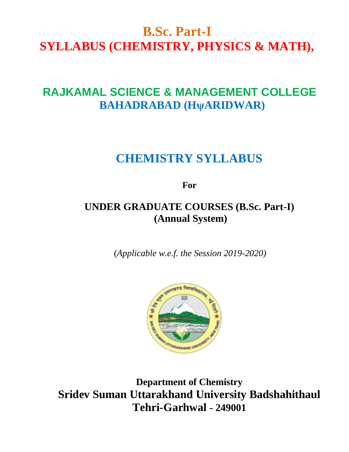# **B.Sc. Part-I SYLLABUS (CHEMISTRY, PHYSICS & MATH),**

# **RAJKAMAL SCIENCE & MANAGEMENT COLLEGE BAHADRABAD (HψARIDWAR)**

# **CHEMISTRY SYLLABUS**

**For**

## **UNDER GRADUATE COURSES (B.Sc. Part-I) (Annual System)**

(*Applicable w.e.f. the Session 2019-2020)*



**Department of Chemistry Sridev Suman Uttarakhand University Badshahithaul Tehri-Garhwal - 249001**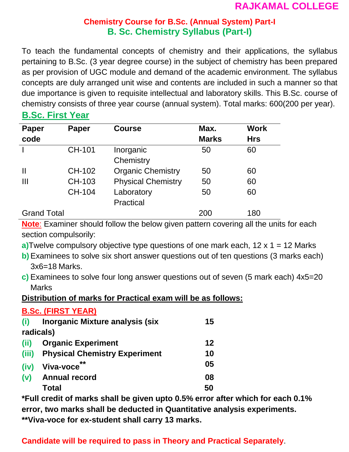## **Chemistry Course for B.Sc. (Annual System) Part-I B. Sc. Chemistry Syllabus (Part-I)**

To teach the fundamental concepts of chemistry and their applications, the syllabus pertaining to B.Sc. (3 year degree course) in the subject of chemistry has been prepared as per provision of UGC module and demand of the academic environment. The syllabus concepts are duly arranged unit wise and contents are included in such a manner so that due importance is given to requisite intellectual and laboratory skills. This B.Sc. course of chemistry consists of three year course (annual system). Total marks: 600(200 per year).

## **B.Sc. First Year**

| <b>Paper</b><br>code | <b>Paper</b> | <b>Course</b>             | Max.<br><b>Marks</b> | <b>Work</b><br><b>Hrs</b> |
|----------------------|--------------|---------------------------|----------------------|---------------------------|
|                      | CH-101       | Inorganic<br>Chemistry    | 50                   | 60                        |
| $\mathsf{I}$         | CH-102       | <b>Organic Chemistry</b>  | 50                   | 60                        |
| Ш                    | CH-103       | <b>Physical Chemistry</b> | 50                   | 60                        |
|                      | CH-104       | Laboratory<br>Practical   | 50                   | 60                        |
| <b>Grand Total</b>   |              |                           | 200                  | 180                       |

**Note**: Examiner should follow the below given pattern covering all the units for each section compulsorily:

- **a)**Twelve compulsory objective type questions of one mark each, 12 x 1 = 12 Marks
- **b)**Examinees to solve six short answer questions out of ten questions (3 marks each) 3x6=18 Marks.
- **c)** Examinees to solve four long answer questions out of seven (5 mark each) 4x5=20 Marks

## **Distribution of marks for Practical exam will be as follows:**

#### **B.Sc. (FIRST YEAR) (i) Inorganic Mixture analysis (six radicals) 15 (ii) Organic Experiment 12 (iii) Physical Chemistry Experiment 10 (iv) Viva-voce \*\* 05 (v) Annual record 08 Total 50**

**\*Full credit of marks shall be given upto 0.5% error after which for each 0.1% error, two marks shall be deducted in Quantitative analysis experiments. \*\*Viva-voce for ex-student shall carry 13 marks.**

## **Candidate will be required to pass in Theory and Practical Separately**.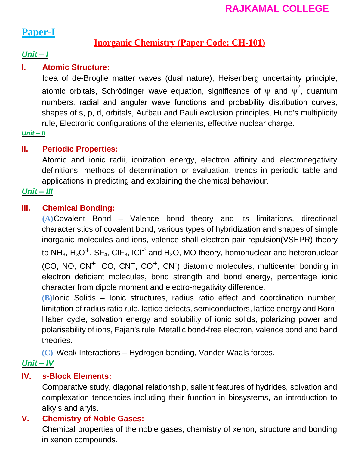## **Paper-I**

## **Inorganic Chemistry (Paper Code: CH-101)**

## *Unit – I*

## **I. Atomic Structure:**

Idea of de-Broglie matter waves (dual nature), Heisenberg uncertainty principle, atomic orbitals, Schrödinger wave equation, significance of  $\psi$  and  $\psi^2$ , quantum numbers, radial and angular wave functions and probability distribution curves, shapes of s, p, d, orbitals, Aufbau and Pauli exclusion principles, Hund's multiplicity rule, Electronic configurations of the elements, effective nuclear charge.

*Unit – II*

## **II. Periodic Properties:**

Atomic and ionic radii, ionization energy, electron affinity and electronegativity definitions, methods of determination or evaluation, trends in periodic table and applications in predicting and explaining the chemical behaviour.

## *Unit – III*

## **III. Chemical Bonding:**

**(A)**Covalent Bond – Valence bond theory and its limitations, directional characteristics of covalent bond, various types of hybridization and shapes of simple inorganic molecules and ions, valence shall electron pair repulsion(VSEPR) theory to NH<sub>3</sub>, H<sub>3</sub>O<sup>+</sup>, SF<sub>4</sub>, CIF<sub>3</sub>, ICI<sup>-2</sup> and H<sub>2</sub>O, MO theory, homonuclear and heteronuclear (CO, NO, CN<sup>+</sup>, CO, CN<sup>+</sup>, CO<sup>+</sup>, CN<sup>-</sup>) diatomic molecules, multicenter bonding in electron deficient molecules, bond strength and bond energy, percentage ionic character from dipole moment and electro-negativity difference.

**(B)**Ionic Solids – Ionic structures, radius ratio effect and coordination number, limitation of radius ratio rule, lattice defects, semiconductors, lattice energy and Born-Haber cycle, solvation energy and solubility of ionic solids, polarizing power and polarisability of ions, Fajan's rule, Metallic bond-free electron, valence bond and band theories.

**(C)** Weak Interactions – Hydrogen bonding, Vander Waals forces.

## *Unit – IV*

## **IV.** *s***-Block Elements:**

Comparative study, diagonal relationship, salient features of hydrides, solvation and complexation tendencies including their function in biosystems, an introduction to alkyls and aryls.

## **V. Chemistry of Noble Gases:**

Chemical properties of the noble gases, chemistry of xenon, structure and bonding in xenon compounds.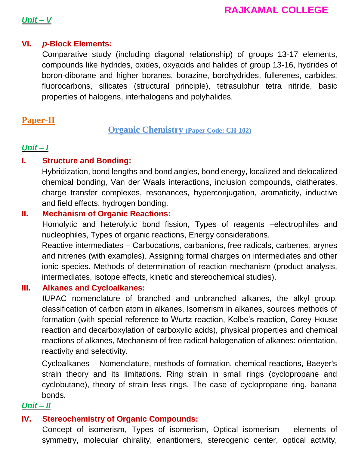## *Unit – V*

## **VI.** *p***-Block Elements:**

Comparative study (including diagonal relationship) of groups 13-17 elements, compounds like hydrides, oxides, oxyacids and halides of group 13-16, hydrides of boron-diborane and higher boranes, borazine, borohydrides, fullerenes, carbides, fluorocarbons, silicates (structural principle), tetrasulphur tetra nitride, basic properties of halogens, interhalogens and polyhalides.

## **Paper-II**

**Organic Chemistry (Paper Code: CH-102)**

## *Unit – I*

## **I. Structure and Bonding:**

Hybridization, bond lengths and bond angles, bond energy, localized and delocalized chemical bonding, Van der Waals interactions, inclusion compounds, clatherates, charge transfer complexes, resonances, hyperconjugation, aromaticity, inductive and field effects, hydrogen bonding.

## **II. Mechanism of Organic Reactions:**

Homolytic and heterolytic bond fission, Types of reagents –electrophiles and nucleophiles, Types of organic reactions, Energy considerations.

Reactive intermediates – Carbocations, carbanions, free radicals, carbenes, arynes and nitrenes (with examples). Assigning formal charges on intermediates and other ionic species. Methods of determination of reaction mechanism (product analysis, intermediates, isotope effects, kinetic and stereochemical studies).

## **III. Alkanes and Cycloalkanes:**

IUPAC nomenclature of branched and unbranched alkanes, the alkyl group, classification of carbon atom in alkanes, Isomerism in alkanes, sources methods of formation (with special reference to Wurtz reaction, Kolbe's reaction, Corey-House reaction and decarboxylation of carboxylic acids), physical properties and chemical reactions of alkanes, Mechanism of free radical halogenation of alkanes: orientation, reactivity and selectivity.

Cycloalkanes – Nomenclature, methods of formation, chemical reactions, Baeyer's strain theory and its limitations. Ring strain in small rings (cyclopropane and cyclobutane), theory of strain less rings. The case of cyclopropane ring, banana bonds.

## *Unit – II*

## **IV. Stereochemistry of Organic Compounds:**

Concept of isomerism, Types of isomerism, Optical isomerism – elements of symmetry, molecular chirality, enantiomers, stereogenic center, optical activity,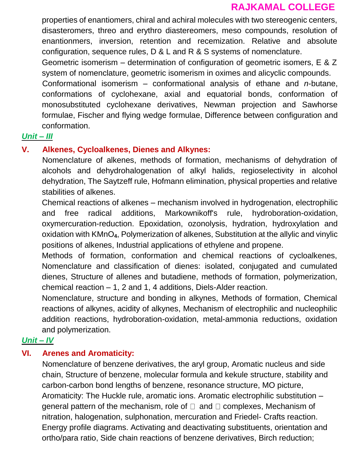properties of enantiomers, chiral and achiral molecules with two stereogenic centers, disasteromers, threo and erythro diastereomers, meso compounds, resolution of enantionmers, inversion, retention and recemization. Relative and absolute configuration, sequence rules, D & L and R & S systems of nomenclature.

Geometric isomerism – determination of configuration of geometric isomers, E & Z system of nomenclature, geometric isomerism in oximes and alicyclic compounds.

Conformational isomerism – conformational analysis of ethane and *n*-butane, conformations of cyclohexane, axial and equatorial bonds, conformation of monosubstituted cyclohexane derivatives, Newman projection and Sawhorse formulae, Fischer and flying wedge formulae, Difference between configuration and conformation.

#### *Unit – III*

#### **V. Alkenes, Cycloalkenes, Dienes and Alkynes:**

Nomenclature of alkenes, methods of formation, mechanisms of dehydration of alcohols and dehydrohalogenation of alkyl halids, regioselectivity in alcohol dehydration, The Saytzeff rule, Hofmann elimination, physical properties and relative stabilities of alkenes.

Chemical reactions of alkenes – mechanism involved in hydrogenation, electrophilic and free radical additions, Markownikoff's rule, hydroboration-oxidation, oxymercuration-reduction. Epoxidation, ozonolysis, hydration, hydroxylation and oxidation with KMnO**4**, Polymerization of alkenes, Substitution at the allylic and vinylic positions of alkenes, Industrial applications of ethylene and propene.

Methods of formation, conformation and chemical reactions of cycloalkenes, Nomenclature and classification of dienes: isolated, conjugated and cumulated dienes, Structure of allenes and butadiene, methods of formation, polymerization, chemical reaction – 1, 2 and 1, 4 additions, Diels-Alder reaction.

Nomenclature, structure and bonding in alkynes, Methods of formation, Chemical reactions of alkynes, acidity of alkynes, Mechanism of electrophilic and nucleophilic addition reactions, hydroboration-oxidation, metal-ammonia reductions, oxidation and polymerization.

#### *Unit – IV*

## **VI. Arenes and Aromaticity:**

Nomenclature of benzene derivatives, the aryl group, Aromatic nucleus and side chain, Structure of benzene, molecular formula and kekule structure, stability and carbon-carbon bond lengths of benzene, resonance structure, MO picture, Aromaticity: The Huckle rule, aromatic ions. Aromatic electrophilic substitution – general pattern of the mechanism, role of  $\Box$  and  $\Box$  complexes, Mechanism of nitration, halogenation, sulphonation, mercuration and Friedel- Crafts reaction. Energy profile diagrams. Activating and deactivating substituents, orientation and ortho/para ratio, Side chain reactions of benzene derivatives, Birch reduction;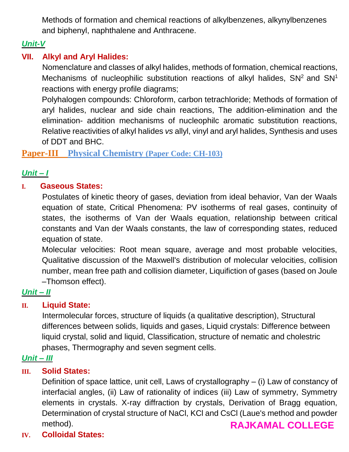Methods of formation and chemical reactions of alkylbenzenes, alkynylbenzenes and biphenyl, naphthalene and Anthracene.

## *Unit-V*

## **VII. Alkyl and Aryl Halides:**

Nomenclature and classes of alkyl halides, methods of formation, chemical reactions, Mechanisms of nucleophilic substitution reactions of alkyl halides,  $SN<sup>2</sup>$  and  $SN<sup>1</sup>$ reactions with energy profile diagrams;

Polyhalogen compounds: Chloroform, carbon tetrachloride; Methods of formation of aryl halides, nuclear and side chain reactions, The addition-elimination and the elimination- addition mechanisms of nucleophilc aromatic substitution reactions, Relative reactivities of alkyl halides *vs* allyl, vinyl and aryl halides, Synthesis and uses of DDT and BHC.

## **Paper-III Physical Chemistry (Paper Code: CH-103)**

## *Unit – I*

## **I. Gaseous States:**

Postulates of kinetic theory of gases, deviation from ideal behavior, Van der Waals equation of state, Critical Phenomena: PV isotherms of real gases, continuity of states, the isotherms of Van der Waals equation, relationship between critical constants and Van der Waals constants, the law of corresponding states, reduced equation of state.

Molecular velocities: Root mean square, average and most probable velocities, Qualitative discussion of the Maxwell's distribution of molecular velocities, collision number, mean free path and collision diameter, Liquifiction of gases (based on Joule –Thomson effect).

## *Unit – II*

## **II. Liquid State:**

Intermolecular forces, structure of liquids (a qualitative description), Structural differences between solids, liquids and gases, Liquid crystals: Difference between liquid crystal, solid and liquid, Classification, structure of nematic and cholestric phases, Thermography and seven segment cells.

## *Unit – III*

## **III. Solid States:**

Definition of space lattice, unit cell, Laws of crystallography – (i) Law of constancy of interfacial angles, (ii) Law of rationality of indices (iii) Law of symmetry, Symmetry elements in crystals. X-ray diffraction by crystals, Derivation of Bragg equation, Determination of crystal structure of NaCl, KCl and CsCl (Laue's method and powder method). **RAJKAMAL COLLEGE**

## **IV. Colloidal States:**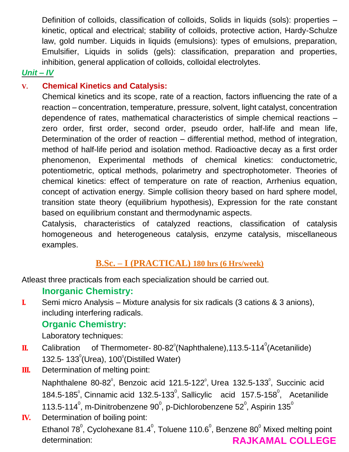Definition of colloids, classification of colloids, Solids in liquids (sols): properties – kinetic, optical and electrical; stability of colloids, protective action, Hardy-Schulze law, gold number. Liquids in liquids (emulsions): types of emulsions, preparation, Emulsifier, Liquids in solids (gels): classification, preparation and properties, inhibition, general application of colloids, colloidal electrolytes.

## *Unit – IV*

## **V. Chemical Kinetics and Catalysis:**

Chemical kinetics and its scope, rate of a reaction, factors influencing the rate of a reaction – concentration, temperature, pressure, solvent, light catalyst, concentration dependence of rates, mathematical characteristics of simple chemical reactions – zero order, first order, second order, pseudo order, half-life and mean life, Determination of the order of reaction – differential method, method of integration, method of half-life period and isolation method. Radioactive decay as a first order phenomenon, Experimental methods of chemical kinetics: conductometric, potentiometric, optical methods, polarimetry and spectrophotometer. Theories of chemical kinetics: effect of temperature on rate of reaction, Arrhenius equation, concept of activation energy. Simple collision theory based on hard sphere model, transition state theory (equilibrium hypothesis), Expression for the rate constant based on equilibrium constant and thermodynamic aspects.

Catalysis, characteristics of catalyzed reactions, classification of catalysis homogeneous and heterogeneous catalysis, enzyme catalysis, miscellaneous examples.

## **B.Sc. – I (PRACTICAL) 180 hrs (6 Hrs/week)**

Atleast three practicals from each specialization should be carried out.

## **Inorganic Chemistry:**

**I.** Semi micro Analysis – Mixture analysis for six radicals (3 cations & 3 anions), including interfering radicals.

## **Organic Chemistry:**

Laboratory techniques:

- $\mathbf{I}$ . Calibration of Thermometer- 80-82 $^{\circ}$ (Naphthalene),113.5-114 $^{\circ}$ (Acetanilide) 132.5-  $133^\circ$ (Urea),  $100^\circ$ (Distilled Water)
- **III.** Determination of melting point: Naphthalene 80-82 $^{\circ}$ , Benzoic acid 121.5-122 $^{\circ}$ , Urea 132.5-133 $^{\circ}$ , Succinic acid 184.5-185 $^{\circ}$ , Cinnamic acid 132.5-133 $^{\circ}$ , Sallicylic acid 157.5-158 $^{\circ}$ , Acetanilide 113.5-114 $^{\circ}$ , m-Dinitrobenzene 90 $^{\circ}$ , p-Dichlorobenzene 52 $^{\circ}$ , Aspirin 135 $^{\circ}$
- **IV.** Determination of boiling point: Ethanol 78 $^{\circ}$ , Cyclohexane 81.4 $^{\circ}$ , Toluene 110.6 $^{\circ}$ , Benzene 80 $^{\circ}$  Mixed melting point determination: **RAJKAMAL COLLEGE**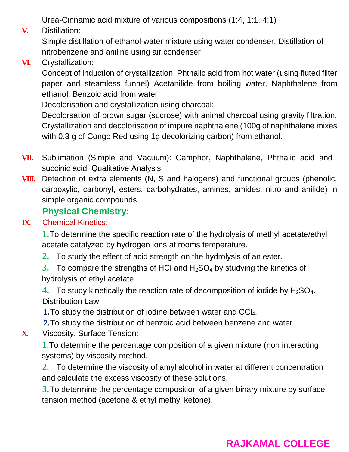Urea-Cinnamic acid mixture of various compositions (1:4, 1:1, 4:1)

**V.** Distillation:

Simple distillation of ethanol-water mixture using water condenser, Distillation of nitrobenzene and aniline using air condenser

**VI.** Crystallization:

Concept of induction of crystallization, Phthalic acid from hot water (using fluted filter paper and steamless funnel) Acetanilide from boiling water, Naphthalene from ethanol, Benzoic acid from water

Decolorisation and crystallization using charcoal:

Decolorsation of brown sugar (sucrose) with animal charcoal using gravity filtration. Crystallization and decolorisation of impure naphthalene (100g of naphthalene mixes with 0.3 g of Congo Red using 1g decolorizing carbon) from ethanol.

- **VII.** Sublimation (Simple and Vacuum): Camphor, Naphthalene, Phthalic acid and succinic acid. Qualitative Analysis:
- **VIII.** Detection of extra elements (N, S and halogens) and functional groups (phenolic, carboxylic, carbonyl, esters, carbohydrates, amines, amides, nitro and anilide) in simple organic compounds.

## **Physical Chemistry:**

## **IX.** Chemical Kinetics:

**1.**To determine the specific reaction rate of the hydrolysis of methyl acetate/ethyl acetate catalyzed by hydrogen ions at rooms temperature.

- **2.** To study the effect of acid strength on the hydrolysis of an ester.
- **3.** To compare the strengths of HCI and H<sub>2</sub>SO<sub>4</sub> by studying the kinetics of hydrolysis of ethyl acetate.
- **4.** To study kinetically the reaction rate of decomposition of iodide by H<sub>2</sub>SO<sub>4</sub>. Distribution Law:

**1.**To study the distribution of iodine between water and CCl4.

- **2.**To study the distribution of benzoic acid between benzene and water.
- **X.** Viscosity, Surface Tension:

**1.**To determine the percentage composition of a given mixture (non interacting systems) by viscosity method.

**2.** To determine the viscosity of amyl alcohol in water at different concentration and calculate the excess viscosity of these solutions.

**3.**To determine the percentage composition of a given binary mixture by surface tension method (acetone & ethyl methyl ketone).

## **RAJKAMAL COLLEGE**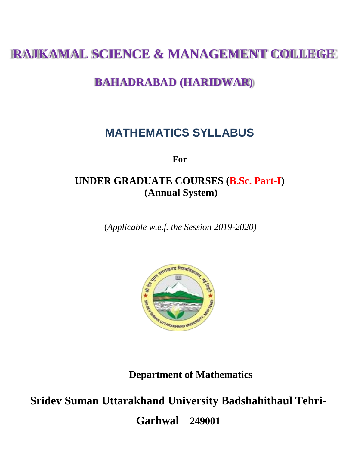# **RAJKAMAL SCIENCE & MANAGEMENT COLLEGE**

# **BAHADRABAD (HARIDWAR)**

# **MATHEMATICS SYLLABUS**

**For**

## **UNDER GRADUATE COURSES (B.Sc. Part-I) (Annual System)**

(*Applicable w.e.f. the Session 2019-2020)*



**Department of Mathematics**

**Sridev Suman Uttarakhand University Badshahithaul Tehri-**

**Garhwal – 249001**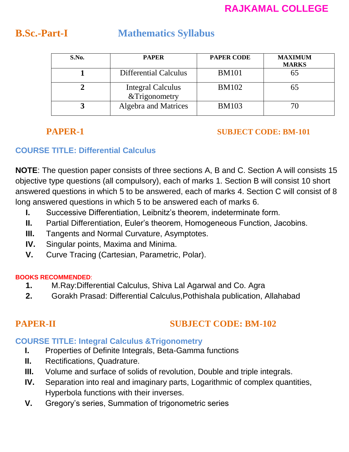## **B.Sc.-Part-I Mathematics Syllabus**

| S.No. | <b>PAPER</b>                       | <b>PAPER CODE</b> | <b>MAXIMUM</b><br><b>MARKS</b> |
|-------|------------------------------------|-------------------|--------------------------------|
|       | <b>Differential Calculus</b>       | <b>BM101</b>      | 65                             |
|       | Integral Calculus<br>&Trigonometry | <b>BM102</b>      |                                |
|       | Algebra and Matrices               | <b>BM103</b>      |                                |

## **PAPER-1 SUBJECT CODE: BM-101**

## **COURSE TITLE: Differential Calculus**

**NOTE**: The question paper consists of three sections A, B and C. Section A will consists 15 objective type questions (all compulsory), each of marks 1. Section B will consist 10 short answered questions in which 5 to be answered, each of marks 4. Section C will consist of 8 long answered questions in which 5 to be answered each of marks 6.

- **I.** Successive Differentiation, Leibnitz's theorem, indeterminate form.
- **II.** Partial Differentiation, Euler's theorem, Homogeneous Function, Jacobins.
- **III.** Tangents and Normal Curvature, Asymptotes.
- **IV.** Singular points, Maxima and Minima.
- **V.** Curve Tracing (Cartesian, Parametric, Polar).

## **BOOKS RECOMMENDED**:

- **1.** M.Ray:Differential Calculus, Shiva Lal Agarwal and Co. Agra
- **2.** Gorakh Prasad: Differential Calculus,Pothishala publication, Allahabad

## **PAPER-II SUBJECT CODE: BM-102**

## **COURSE TITLE: Integral Calculus &Trigonometry**

- **I.** Properties of Definite Integrals, Beta-Gamma functions
- **II.** Rectifications, Quadrature.
- **III.** Volume and surface of solids of revolution, Double and triple integrals.
- **IV.** Separation into real and imaginary parts, Logarithmic of complex quantities, Hyperbola functions with their inverses.
- **V.** Gregory's series, Summation of trigonometric series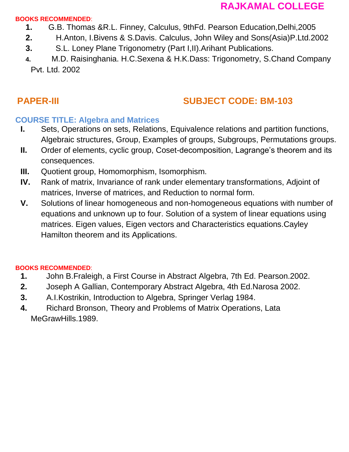#### **BOOKS RECOMMENDED**:

- **1.** G.B. Thomas &R.L. Finney, Calculus, 9thFd. Pearson Education,Delhi,2005
- **2.** H.Anton, I.Bivens & S.Davis. Calculus, John Wiley and Sons(Asia)P.Ltd.2002
- **3.** S.L. Loney Plane Trigonometry (Part I,II).Arihant Publications.
- **4.** M.D. Raisinghania. H.C.Sexena & H.K.Dass: Trigonometry, S.Chand Company Pvt. Ltd. 2002

## **PAPER-III SUBJECT CODE: BM-103**

## **COURSE TITLE: Algebra and Matrices**

- **I.** Sets, Operations on sets, Relations, Equivalence relations and partition functions, Algebraic structures, Group, Examples of groups, Subgroups, Permutations groups.
- **II.** Order of elements, cyclic group, Coset-decomposition, Lagrange's theorem and its consequences.
- **III.** Quotient group, Homomorphism, Isomorphism.
- **IV.** Rank of matrix, Invariance of rank under elementary transformations, Adjoint of matrices, Inverse of matrices, and Reduction to normal form.
- **V.** Solutions of linear homogeneous and non-homogeneous equations with number of equations and unknown up to four. Solution of a system of linear equations using matrices. Eigen values, Eigen vectors and Characteristics equations.Cayley Hamilton theorem and its Applications.

#### **BOOKS RECOMMENDED**:

- **1.** John B.Fraleigh, a First Course in Abstract Algebra, 7th Ed. Pearson.2002.
- **2.** Joseph A Gallian, Contemporary Abstract Algebra, 4th Ed.Narosa 2002.
- **3.** A.I.Kostrikin, Introduction to Algebra, Springer Verlag 1984.
- **4.** Richard Bronson, Theory and Problems of Matrix Operations, Lata MeGrawHills.1989.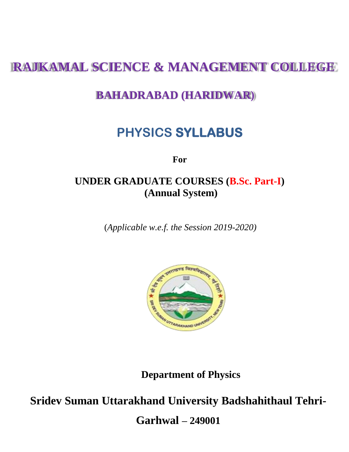# **RAJKAMAL SCIENCE & MANAGEMENT COLLEGE**

## **BAHADRABAD (HARIDWAR)**

# **PHYSICS SYLLABUS**

**For**

## **UNDER GRADUATE COURSES (B.Sc. Part-I) (Annual System)**

(*Applicable w.e.f. the Session 2019-2020)*



**Department of Physics**

**Sridev Suman Uttarakhand University Badshahithaul Tehri-**

**Garhwal – 249001**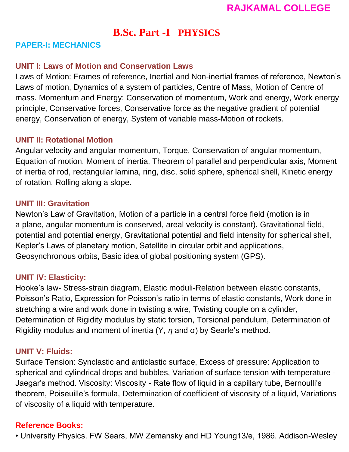## **B.Sc. Part -I PHYSICS**

## **PAPER-I: MECHANICS**

## **UNIT I: Laws of Motion and Conservation Laws**

Laws of Motion: Frames of reference, Inertial and Non-inertial frames of reference, Newton's Laws of motion, Dynamics of a system of particles, Centre of Mass, Motion of Centre of mass. Momentum and Energy: Conservation of momentum, Work and energy, Work energy principle, Conservative forces, Conservative force as the negative gradient of potential energy, Conservation of energy, System of variable mass-Motion of rockets.

## **UNIT II: Rotational Motion**

Angular velocity and angular momentum, Torque, Conservation of angular momentum, Equation of motion, Moment of inertia, Theorem of parallel and perpendicular axis, Moment of inertia of rod, rectangular lamina, ring, disc, solid sphere, spherical shell, Kinetic energy of rotation, Rolling along a slope.

## **UNIT III: Gravitation**

Newton's Law of Gravitation, Motion of a particle in a central force field (motion is in a plane, angular momentum is conserved, areal velocity is constant), Gravitational field, potential and potential energy, Gravitational potential and field intensity for spherical shell, Kepler's Laws of planetary motion, Satellite in circular orbit and applications, Geosynchronous orbits, Basic idea of global positioning system (GPS).

## **UNIT IV: Elasticity:**

Hooke's law- Stress-strain diagram, Elastic moduli-Relation between elastic constants, Poisson's Ratio, Expression for Poisson's ratio in terms of elastic constants, Work done in stretching a wire and work done in twisting a wire, Twisting couple on a cylinder, Determination of Rigidity modulus by static torsion, Torsional pendulum, Determination of Rigidity modulus and moment of inertia (Y, *η* and σ) by Searle's method.

## **UNIT V: Fluids:**

Surface Tension: Synclastic and anticlastic surface, Excess of pressure: Application to spherical and cylindrical drops and bubbles, Variation of surface tension with temperature - Jaegar's method. Viscosity: Viscosity - Rate flow of liquid in a capillary tube, Bernoulli's theorem, Poiseuille's formula, Determination of coefficient of viscosity of a liquid, Variations of viscosity of a liquid with temperature.

## **Reference Books:**

• University Physics. FW Sears, MW Zemansky and HD Young13/e, 1986. Addison-Wesley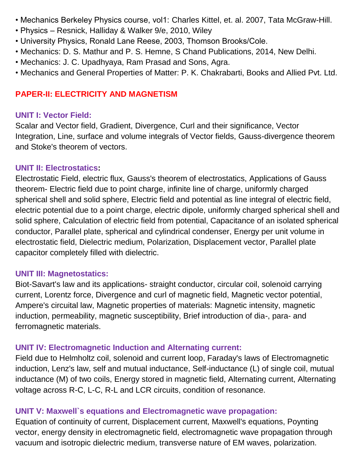- Mechanics Berkeley Physics course, vol1: Charles Kittel, et. al. 2007, Tata McGraw-Hill.
- Physics Resnick, Halliday & Walker 9/e, 2010, Wiley
- University Physics, Ronald Lane Reese, 2003, Thomson Brooks/Cole.
- Mechanics: D. S. Mathur and P. S. Hemne, S Chand Publications, 2014, New Delhi.
- Mechanics: J. C. Upadhyaya, Ram Prasad and Sons, Agra.
- Mechanics and General Properties of Matter: P. K. Chakrabarti, Books and Allied Pvt. Ltd.

## **PAPER-II: ELECTRICITY AND MAGNETISM**

## **UNIT I: Vector Field:**

Scalar and Vector field, Gradient, Divergence, Curl and their significance, Vector Integration, Line, surface and volume integrals of Vector fields, Gauss-divergence theorem and Stoke's theorem of vectors.

## **UNIT II: Electrostatics:**

Electrostatic Field, electric flux, Gauss's theorem of electrostatics, Applications of Gauss theorem- Electric field due to point charge, infinite line of charge, uniformly charged spherical shell and solid sphere, Electric field and potential as line integral of electric field, electric potential due to a point charge, electric dipole, uniformly charged spherical shell and solid sphere, Calculation of electric field from potential, Capacitance of an isolated spherical conductor, Parallel plate, spherical and cylindrical condenser, Energy per unit volume in electrostatic field, Dielectric medium, Polarization, Displacement vector, Parallel plate capacitor completely filled with dielectric.

## **UNIT III: Magnetostatics:**

Biot-Savart's law and its applications- straight conductor, circular coil, solenoid carrying current, Lorentz force, Divergence and curl of magnetic field, Magnetic vector potential, Ampere's circuital law, Magnetic properties of materials: Magnetic intensity, magnetic induction, permeability, magnetic susceptibility, Brief introduction of dia-, para- and ferromagnetic materials.

## **UNIT IV: Electromagnetic Induction and Alternating current:**

Field due to Helmholtz coil, solenoid and current loop, Faraday's laws of Electromagnetic induction, Lenz's law, self and mutual inductance, Self-inductance (L) of single coil, mutual inductance (M) of two coils, Energy stored in magnetic field, Alternating current, Alternating voltage across R-C, L-C, R-L and LCR circuits, condition of resonance.

## **UNIT V: Maxwell`s equations and Electromagnetic wave propagation:**

Equation of continuity of current, Displacement current, Maxwell's equations, Poynting vector, energy density in electromagnetic field, electromagnetic wave propagation through vacuum and isotropic dielectric medium, transverse nature of EM waves, polarization.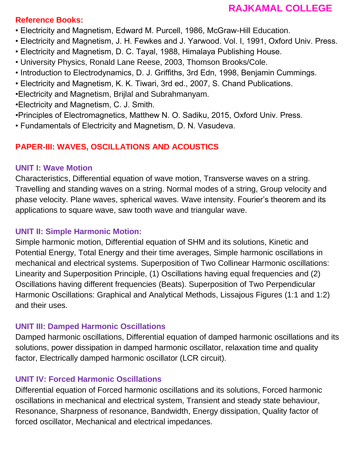## **Reference Books:**

- Electricity and Magnetism, Edward M. Purcell, 1986, McGraw-Hill Education.
- Electricity and Magnetism, J. H. Fewkes and J. Yarwood. Vol. I, 1991, Oxford Univ. Press.
- Electricity and Magnetism, D. C. Tayal, 1988, Himalaya Publishing House.
- University Physics, Ronald Lane Reese, 2003, Thomson Brooks/Cole.
- Introduction to Electrodynamics, D. J. Griffiths, 3rd Edn, 1998, Benjamin Cummings.
- Electricity and Magnetism, K. K. Tiwari, 3rd ed., 2007, S. Chand Publications.
- •Electricity and Magnetism, Brijlal and Subrahmanyam.
- •Electricity and Magnetism, C. J. Smith.
- •Principles of Electromagnetics, Matthew N. O. Sadiku, 2015, Oxford Univ. Press.
- Fundamentals of Electricity and Magnetism, D. N. Vasudeva.

## **PAPER-III: WAVES, OSCILLATIONS AND ACOUSTICS**

## **UNIT I: Wave Motion**

Characteristics, Differential equation of wave motion, Transverse waves on a string. Travelling and standing waves on a string. Normal modes of a string, Group velocity and phase velocity. Plane waves, spherical waves. Wave intensity. Fourier's theorem and its applications to square wave, saw tooth wave and triangular wave.

## **UNIT II: Simple Harmonic Motion:**

Simple harmonic motion, Differential equation of SHM and its solutions, Kinetic and Potential Energy, Total Energy and their time averages, Simple harmonic oscillations in mechanical and electrical systems. Superposition of Two Collinear Harmonic oscillations: Linearity and Superposition Principle, (1) Oscillations having equal frequencies and (2) Oscillations having different frequencies (Beats). Superposition of Two Perpendicular Harmonic Oscillations: Graphical and Analytical Methods, Lissajous Figures (1:1 and 1:2) and their uses.

## **UNIT III: Damped Harmonic Oscillations**

Damped harmonic oscillations, Differential equation of damped harmonic oscillations and its solutions, power dissipation in damped harmonic oscillator, relaxation time and quality factor, Electrically damped harmonic oscillator (LCR circuit).

## **UNIT IV: Forced Harmonic Oscillations**

Differential equation of Forced harmonic oscillations and its solutions, Forced harmonic oscillations in mechanical and electrical system, Transient and steady state behaviour, Resonance, Sharpness of resonance, Bandwidth, Energy dissipation, Quality factor of forced oscillator, Mechanical and electrical impedances.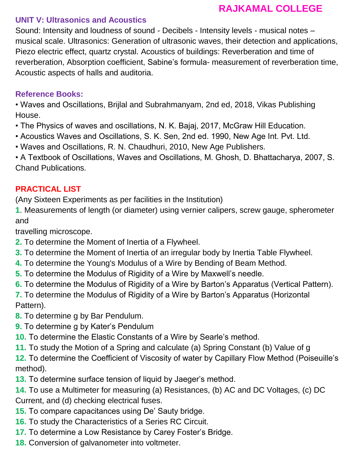## **UNIT V: Ultrasonics and Acoustics**

Sound: Intensity and loudness of sound - Decibels - Intensity levels - musical notes – musical scale. Ultrasonics: Generation of ultrasonic waves, their detection and applications, Piezo electric effect, quartz crystal. Acoustics of buildings: Reverberation and time of reverberation, Absorption coefficient, Sabine's formula- measurement of reverberation time, Acoustic aspects of halls and auditoria.

## **Reference Books:**

• Waves and Oscillations, Brijlal and Subrahmanyam, 2nd ed, 2018, Vikas Publishing House.

- The Physics of waves and oscillations, N. K. Bajaj, 2017, McGraw Hill Education.
- Acoustics Waves and Oscillations, S. K. Sen, 2nd ed. 1990, New Age Int. Pvt. Ltd.
- Waves and Oscillations, R. N. Chaudhuri, 2010, New Age Publishers.

• A Textbook of Oscillations, Waves and Oscillations, M. Ghosh, D. Bhattacharya, 2007, S. Chand Publications.

## **PRACTICAL LIST**

(Any Sixteen Experiments as per facilities in the Institution)

**1**. Measurements of length (or diameter) using vernier calipers, screw gauge, spherometer and

travelling microscope.

- **2.** To determine the Moment of Inertia of a Flywheel.
- **3.** To determine the Moment of Inertia of an irregular body by Inertia Table Flywheel.
- **4.** To determine the Young's Modulus of a Wire by Bending of Beam Method.
- **5.** To determine the Modulus of Rigidity of a Wire by Maxwell's needle.
- **6.** To determine the Modulus of Rigidity of a Wire by Barton's Apparatus (Vertical Pattern).

**7.** To determine the Modulus of Rigidity of a Wire by Barton's Apparatus (Horizontal Pattern).

- **8.** To determine g by Bar Pendulum.
- **9.** To determine g by Kater's Pendulum
- **10.** To determine the Elastic Constants of a Wire by Searle's method.
- **11.** To study the Motion of a Spring and calculate (a) Spring Constant (b) Value of g

**12.** To determine the Coefficient of Viscosity of water by Capillary Flow Method (Poiseuille's method).

**13.** To determine surface tension of liquid by Jaeger's method.

**14.** To use a Multimeter for measuring (a) Resistances, (b) AC and DC Voltages, (c) DC Current, and (d) checking electrical fuses.

- **15.** To compare capacitances using De' Sauty bridge.
- **16.** To study the Characteristics of a Series RC Circuit.
- **17.** To determine a Low Resistance by Carey Foster's Bridge.
- **18.** Conversion of galvanometer into voltmeter.